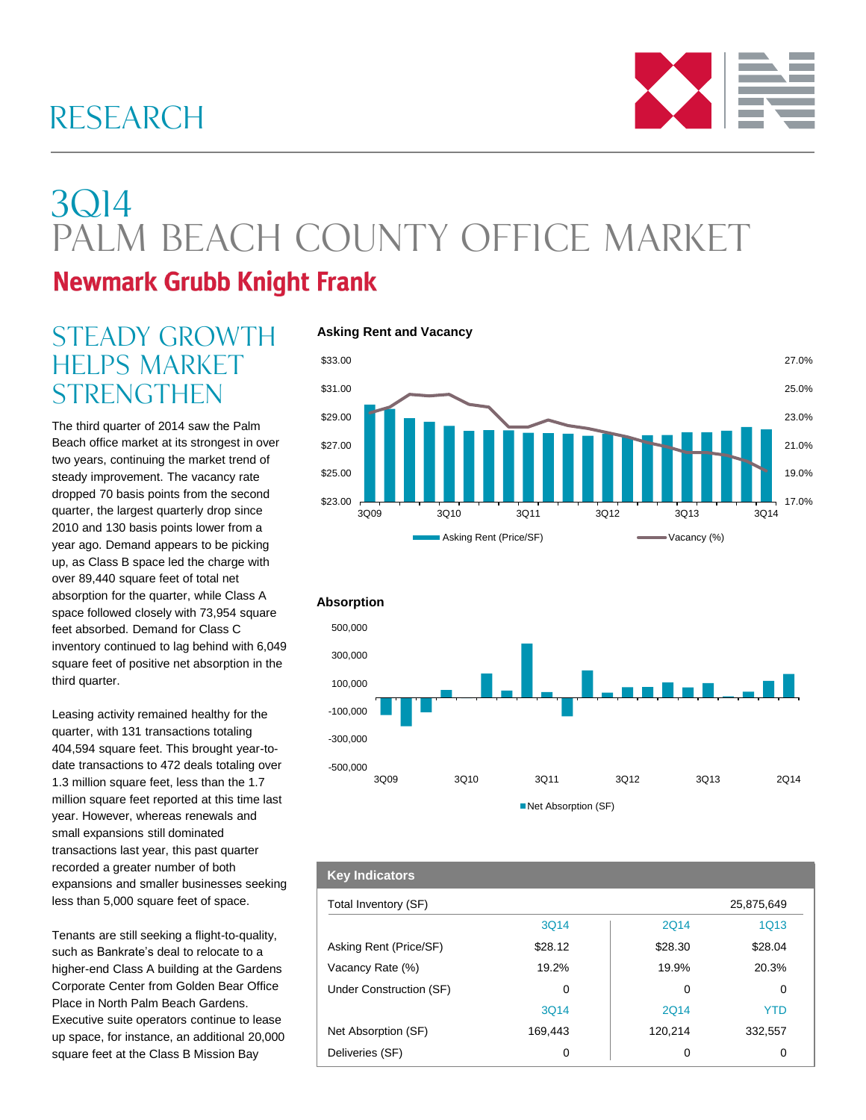### RESEARCH



# 3Q14 PALM BEACH COUNTY OFFICE MARKET

### **Newmark Grubb Knight Frank**

### STEADY GROWTH helps market **STRENGTHEN**

The third quarter of 2014 saw the Palm Beach office market at its strongest in over two years, continuing the market trend of steady improvement. The vacancy rate dropped 70 basis points from the second quarter, the largest quarterly drop since 2010 and 130 basis points lower from a year ago. Demand appears to be picking up, as Class B space led the charge with over 89,440 square feet of total net absorption for the quarter, while Class A space followed closely with 73,954 square feet absorbed. Demand for Class C inventory continued to lag behind with 6,049 square feet of positive net absorption in the third quarter.

Leasing activity remained healthy for the quarter, with 131 transactions totaling 404,594 square feet. This brought year-todate transactions to 472 deals totaling over 1.3 million square feet, less than the 1.7 million square feet reported at this time last year. However, whereas renewals and small expansions still dominated transactions last year, this past quarter recorded a greater number of both expansions and smaller businesses seeking less than 5,000 square feet of space.

Tenants are still seeking a flight-to-quality, such as Bankrate's deal to relocate to a higher-end Class A building at the Gardens Corporate Center from Golden Bear Office Place in North Palm Beach Gardens. Executive suite operators continue to lease up space, for instance, an additional 20,000 square feet at the Class B Mission Bay

#### **Asking Rent and Vacancy**





### Total Inventory (SF) 25,875,649 3Q14 2Q14 1Q13 Asking Rent (Price/SF)  $$28.12$   $$28.30$   $$28.04$ Vacancy Rate (%) 19.2% 19.9% 20.3% Under Construction (SF) 0 0 0 3Q14 2Q14 YTD Net Absorption (SF) 169,443 120,214 332,557 Deliveries (SF) 0 0 0 **Key Indicators**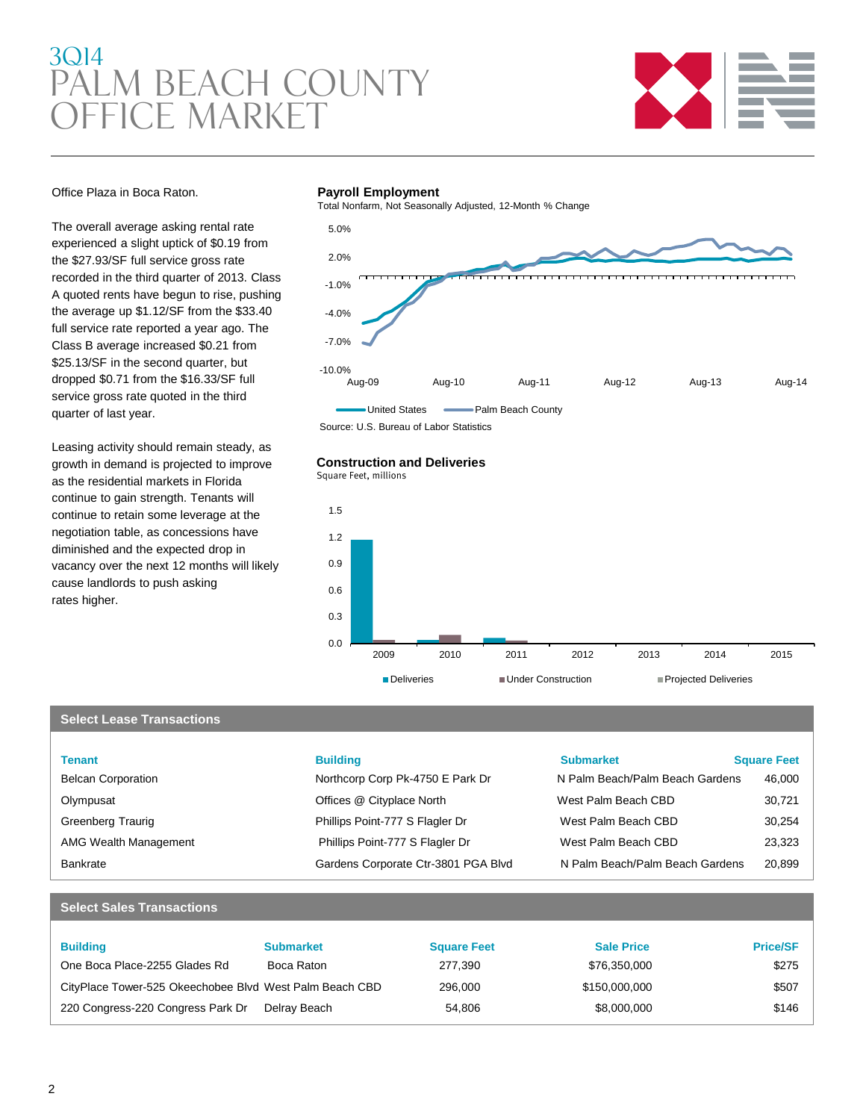### 3Q14 PALM BEACH COUNTY Office market



#### Office Plaza in Boca Raton.

The overall average asking rental rate experienced a slight uptick of \$0.19 from the \$27.93/SF full service gross rate recorded in the third quarter of 2013. Class A quoted rents have begun to rise, pushing the average up \$1.12/SF from the \$33.40 full service rate reported a year ago. The Class B average increased \$0.21 from \$25.13/SF in the second quarter, but dropped \$0.71 from the \$16.33/SF full service gross rate quoted in the third quarter of last year.

Leasing activity should remain steady, as growth in demand is projected to improve as the residential markets in Florida continue to gain strength. Tenants will continue to retain some leverage at the negotiation table, as concessions have diminished and the expected drop in vacancy over the next 12 months will likely cause landlords to push asking rates higher.

#### **Payroll Employment**

Total Nonfarm, Not Seasonally Adjusted, 12-Month % Change



Source: U.S. Bureau of Labor Statistics

#### **Construction and Deliveries**

Square Feet, millions



#### **Select Lease Transactions**

| <b>Tenant</b>                | <b>Building</b>                     | <b>Submarket</b>                | <b>Square Feet</b> |
|------------------------------|-------------------------------------|---------------------------------|--------------------|
| <b>Belcan Corporation</b>    | Northcorp Corp Pk-4750 E Park Dr    | N Palm Beach/Palm Beach Gardens | 46,000             |
| Olympusat                    | Offices @ Cityplace North           | West Palm Beach CBD             | 30,721             |
| Greenberg Traurig            | Phillips Point-777 S Flagler Dr     | West Palm Beach CBD             | 30,254             |
| <b>AMG Wealth Management</b> | Phillips Point-777 S Flagler Dr     | West Palm Beach CBD             | 23,323             |
| <b>Bankrate</b>              | Gardens Corporate Ctr-3801 PGA Blvd | N Palm Beach/Palm Beach Gardens | 20,899             |

#### **Select Sales Transactions**

| <b>Building</b>                                         | <b>Submarket</b> | <b>Square Feet</b> | <b>Sale Price</b> | <b>Price/SF</b> |
|---------------------------------------------------------|------------------|--------------------|-------------------|-----------------|
| One Boca Place-2255 Glades Rd                           | Boca Raton       | 277.390            | \$76.350.000      | \$275           |
| CityPlace Tower-525 Okeechobee Blvd West Palm Beach CBD |                  | 296,000            | \$150,000,000     | \$507           |
| 220 Congress-220 Congress Park Dr                       | Delrav Beach     | 54.806             | \$8,000,000       | \$146           |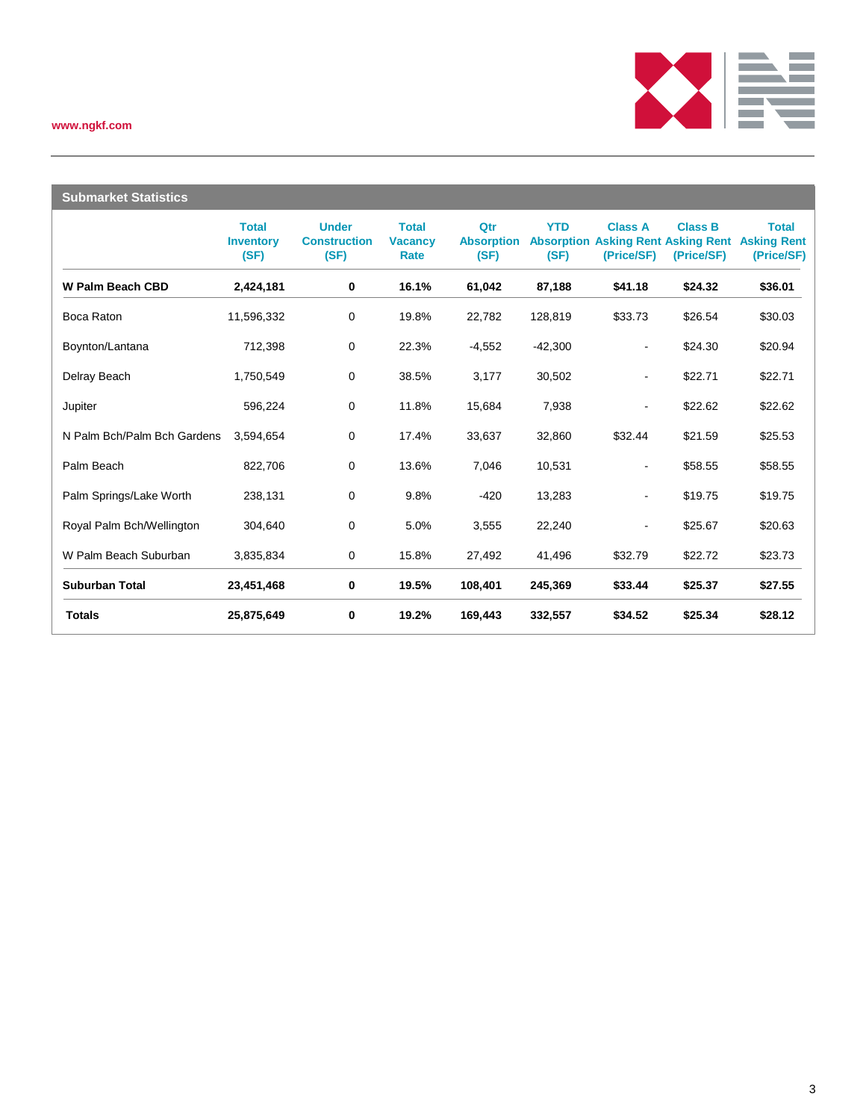#### **www.ngkf.com**



| <b>Submarket Statistics</b> |                                          |                                             |                                        |                                  |                                         |                              |                                                                |                                                  |
|-----------------------------|------------------------------------------|---------------------------------------------|----------------------------------------|----------------------------------|-----------------------------------------|------------------------------|----------------------------------------------------------------|--------------------------------------------------|
|                             | <b>Total</b><br><b>Inventory</b><br>(SF) | <b>Under</b><br><b>Construction</b><br>(SF) | <b>Total</b><br><b>Vacancy</b><br>Rate | Qtr<br><b>Absorption</b><br>(SF) | <b>YTD</b><br><b>Absorption</b><br>(SF) | <b>Class A</b><br>(Price/SF) | <b>Class B</b><br><b>Asking Rent Asking Rent</b><br>(Price/SF) | <b>Total</b><br><b>Asking Rent</b><br>(Price/SF) |
| <b>W Palm Beach CBD</b>     | 2,424,181                                | 0                                           | 16.1%                                  | 61,042                           | 87,188                                  | \$41.18                      | \$24.32                                                        | \$36.01                                          |
| Boca Raton                  | 11,596,332                               | 0                                           | 19.8%                                  | 22,782                           | 128,819                                 | \$33.73                      | \$26.54                                                        | \$30.03                                          |
| Boynton/Lantana             | 712,398                                  | 0                                           | 22.3%                                  | $-4,552$                         | $-42,300$                               | $\blacksquare$               | \$24.30                                                        | \$20.94                                          |
| Delray Beach                | 1,750,549                                | $\mathbf 0$                                 | 38.5%                                  | 3,177                            | 30,502                                  | $\blacksquare$               | \$22.71                                                        | \$22.71                                          |
| Jupiter                     | 596,224                                  | 0                                           | 11.8%                                  | 15,684                           | 7,938                                   | $\blacksquare$               | \$22.62                                                        | \$22.62                                          |
| N Palm Bch/Palm Bch Gardens | 3,594,654                                | 0                                           | 17.4%                                  | 33,637                           | 32,860                                  | \$32.44                      | \$21.59                                                        | \$25.53                                          |
| Palm Beach                  | 822,706                                  | 0                                           | 13.6%                                  | 7,046                            | 10,531                                  | $\blacksquare$               | \$58.55                                                        | \$58.55                                          |
| Palm Springs/Lake Worth     | 238,131                                  | 0                                           | 9.8%                                   | $-420$                           | 13,283                                  | ۰                            | \$19.75                                                        | \$19.75                                          |
| Royal Palm Bch/Wellington   | 304,640                                  | 0                                           | 5.0%                                   | 3,555                            | 22,240                                  | $\blacksquare$               | \$25.67                                                        | \$20.63                                          |
| W Palm Beach Suburban       | 3,835,834                                | 0                                           | 15.8%                                  | 27,492                           | 41,496                                  | \$32.79                      | \$22.72                                                        | \$23.73                                          |
| <b>Suburban Total</b>       | 23,451,468                               | 0                                           | 19.5%                                  | 108,401                          | 245,369                                 | \$33.44                      | \$25.37                                                        | \$27.55                                          |
| <b>Totals</b>               | 25,875,649                               | 0                                           | 19.2%                                  | 169,443                          | 332,557                                 | \$34.52                      | \$25.34                                                        | \$28.12                                          |